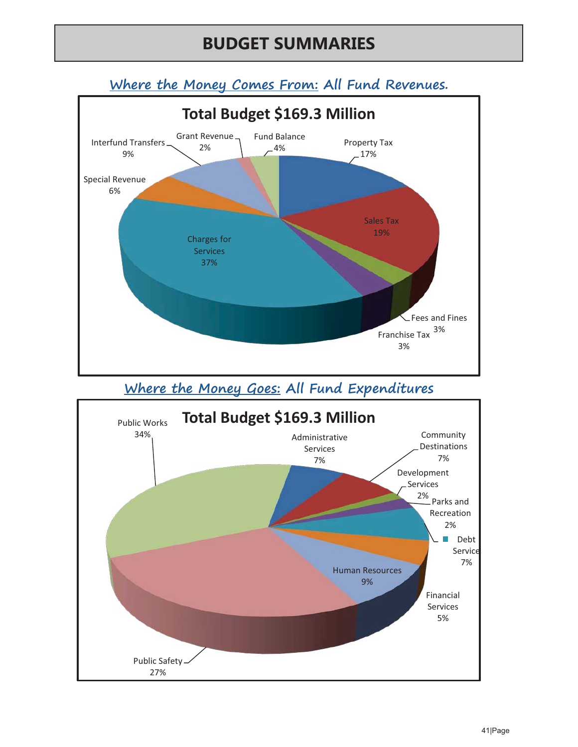# **BUDGET SUMMARIES**





**Where the Money Goes: All Fund Expenditures** 

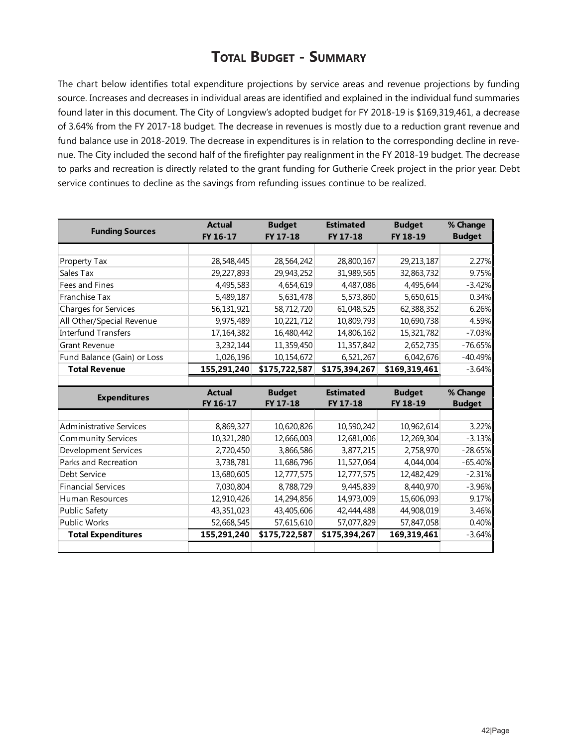# **TOTAL BUDGET - SUMMARY**

The chart below identifies total expenditure projections by service areas and revenue projections by funding source. Increases and decreases in individual areas are identified and explained in the individual fund summaries found later in this document. The City of Longview's adopted budget for FY 2018-19 is \$169,319,461, a decrease of 3.64% from the FY 2017-18 budget. The decrease in revenues is mostly due to a reduction grant revenue and fund balance use in 2018-2019. The decrease in expenditures is in relation to the corresponding decline in reve nue. The City included the second half of the firefighter pay realignment in the FY 2018-19 budget. The decrease to parks and recreation is directly related to the grant funding for Gutherie Creek project in the prior year. Debt service continues to decline as the savings from refunding issues continue to be realized.

|                                | <b>Actual</b> | <b>Budget</b>   | <b>Estimated</b> | <b>Budget</b> | % Change      |
|--------------------------------|---------------|-----------------|------------------|---------------|---------------|
| <b>Funding Sources</b>         | FY 16-17      | <b>FY 17-18</b> | <b>FY 17-18</b>  | FY 18-19      | <b>Budget</b> |
|                                |               |                 |                  |               |               |
| Property Tax                   | 28,548,445    | 28,564,242      | 28,800,167       | 29, 213, 187  | 2.27%         |
| Sales Tax                      | 29,227,893    | 29,943,252      | 31,989,565       | 32,863,732    | 9.75%         |
| Fees and Fines                 | 4,495,583     | 4,654,619       | 4,487,086        | 4,495,644     | $-3.42%$      |
| Franchise Tax                  | 5,489,187     | 5,631,478       | 5,573,860        | 5,650,615     | 0.34%         |
| <b>Charges for Services</b>    | 56,131,921    | 58,712,720      | 61,048,525       | 62,388,352    | 6.26%         |
| All Other/Special Revenue      | 9,975,489     | 10,221,712      | 10,809,793       | 10,690,738    | 4.59%         |
| <b>Interfund Transfers</b>     | 17, 164, 382  | 16,480,442      | 14,806,162       | 15,321,782    | $-7.03%$      |
| <b>Grant Revenue</b>           | 3,232,144     | 11,359,450      | 11,357,842       | 2,652,735     | $-76.65%$     |
| Fund Balance (Gain) or Loss    | 1,026,196     | 10,154,672      | 6,521,267        | 6,042,676     | $-40.49%$     |
| <b>Total Revenue</b>           | 155,291,240   | \$175,722,587   | \$175,394,267    | \$169,319,461 | $-3.64%$      |
|                                |               |                 |                  |               |               |
|                                |               |                 |                  |               |               |
|                                | <b>Actual</b> | <b>Budget</b>   | <b>Estimated</b> | <b>Budget</b> | % Change      |
| <b>Expenditures</b>            | FY 16-17      | FY 17-18        | FY 17-18         | FY 18-19      | <b>Budget</b> |
|                                |               |                 |                  |               |               |
| <b>Administrative Services</b> | 8,869,327     | 10,620,826      | 10,590,242       | 10,962,614    | 3.22%         |
| <b>Community Services</b>      | 10,321,280    | 12,666,003      | 12,681,006       | 12,269,304    | $-3.13%$      |
| Development Services           | 2,720,450     | 3,866,586       | 3,877,215        | 2,758,970     | $-28.65%$     |
| Parks and Recreation           | 3,738,781     | 11,686,796      | 11,527,064       | 4,044,004     | $-65.40%$     |
| Debt Service                   | 13,680,605    | 12,777,575      | 12,777,575       | 12,482,429    | $-2.31%$      |
| <b>Financial Services</b>      | 7,030,804     | 8,788,729       | 9,445,839        | 8,440,970     | $-3.96%$      |
| Human Resources                | 12,910,426    | 14,294,856      | 14,973,009       | 15,606,093    | 9.17%         |
| <b>Public Safety</b>           | 43,351,023    | 43,405,606      | 42,444,488       | 44,908,019    | 3.46%         |
| <b>Public Works</b>            | 52,668,545    | 57,615,610      | 57,077,829       | 57,847,058    | 0.40%         |
| <b>Total Expenditures</b>      | 155,291,240   | \$175,722,587   | \$175,394,267    | 169,319,461   | $-3.64%$      |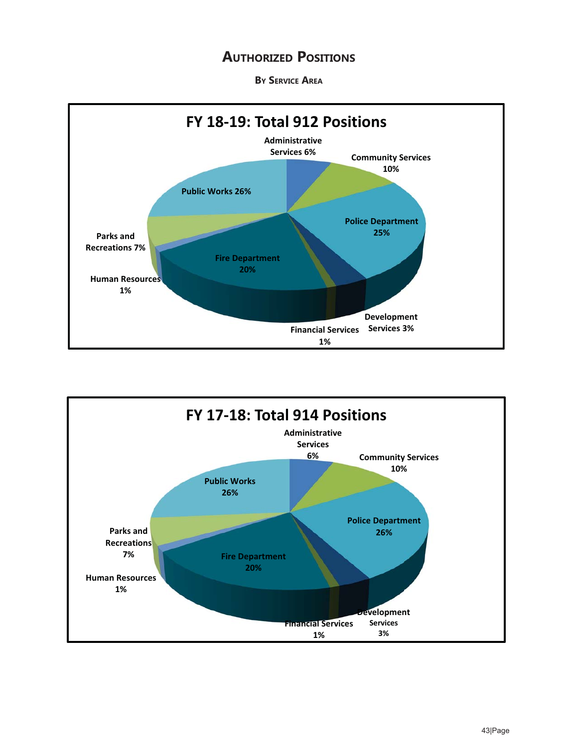# **AUTHORIZED POSITIONS**

**BY SERVICE AREA**



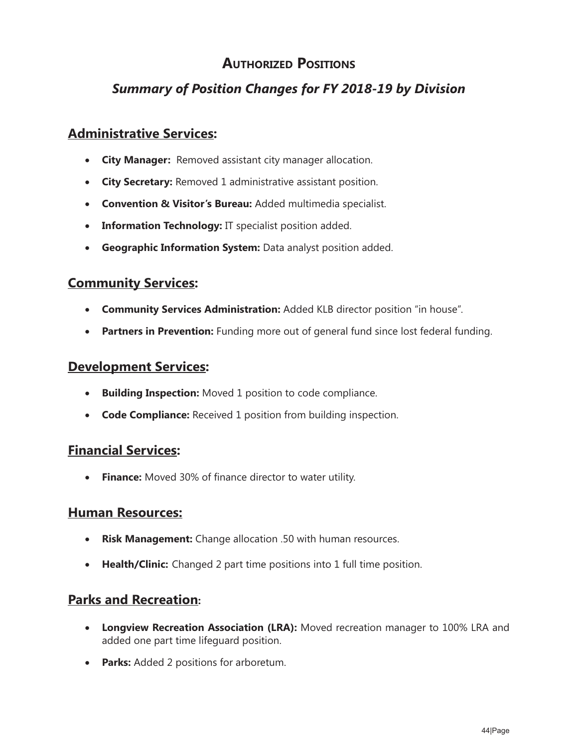# **AUTHORIZED POSITIONS**

# *Summary of Position Changes for FY 2018-19 by Division*

#### **Administrative Services:**

- **City Manager:** Removed assistant city manager allocation.
- **City Secretary:** Removed 1 administrative assistant position.
- **Convention & Visitor's Bureau:** Added multimedia specialist.
- **Information Technology: IT specialist position added.**
- **· Geographic Information System:** Data analyst position added.

#### **Community Services:**

- -**Community Services Administration:** Added KLB director position "in house".
- -**Partners in Prevention:** Funding more out of general fund since lost federal funding.

#### **Development Services:**

- **Building Inspection:** Moved 1 position to code compliance.
- -**Code Compliance:** Received 1 position from building inspection.

#### **Financial Services:**

 $\bullet$ **Finance:** Moved 30% of finance director to water utility.

#### **Human Resources:**

- $\bullet$ **Risk Management:** Change allocation .50 with human resources.
- **Health/Clinic:** Changed 2 part time positions into 1 full time position.

## **Parks and Recreation:**

- **Longview Recreation Association (LRA):** Moved recreation manager to 100% LRA and added one part time lifeguard position.
- **Parks:** Added 2 positions for arboretum.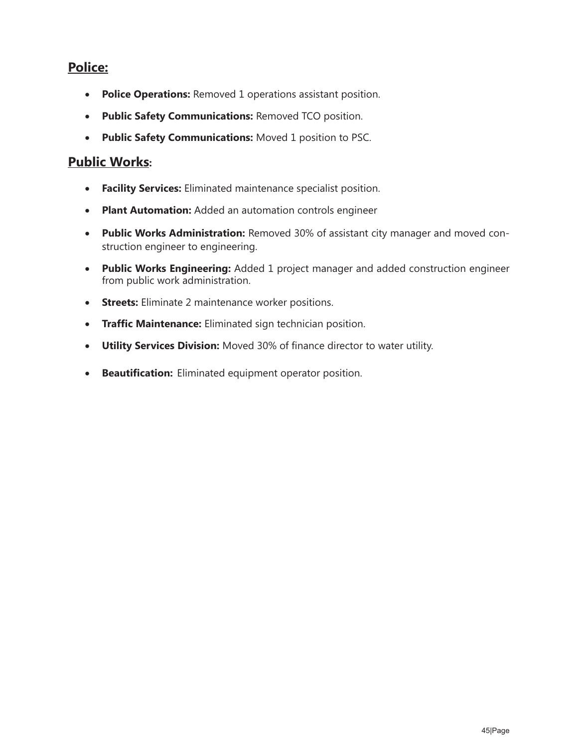## **Police:**

- **Police Operations:** Removed 1 operations assistant position.
- **Public Safety Communications: Removed TCO position.**
- **Public Safety Communications:** Moved 1 position to PSC.

#### **Public Works:**

- **Facility Services:** Eliminated maintenance specialist position.
- **Plant Automation:** Added an automation controls engineer
- **Public Works Administration:** Removed 30% of assistant city manager and moved construction engineer to engineering.
- Public Works Engineering: Added 1 project manager and added construction engineer from public work administration.
- **Streets:** Eliminate 2 maintenance worker positions.
- **Traffic Maintenance:** Eliminated sign technician position.
- **Utility Services Division:** Moved 30% of finance director to water utility.
- **Beautification:** Eliminated equipment operator position.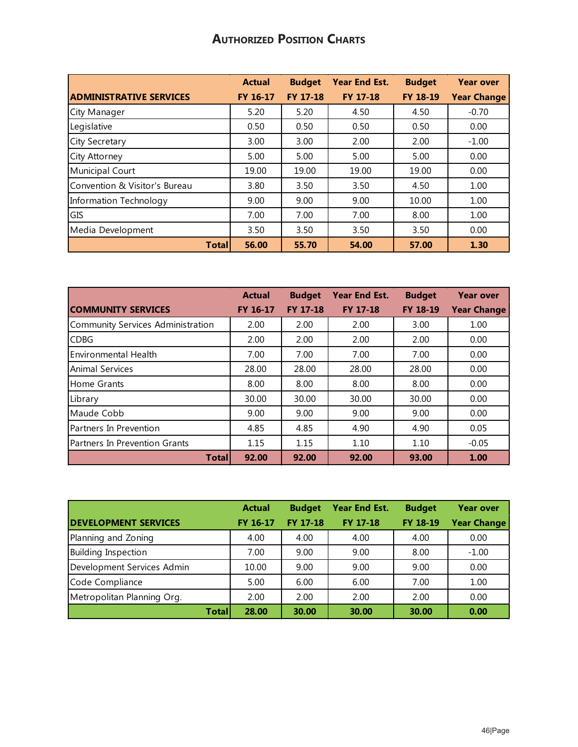# **AUTHORIZED POSITION CHARTS**

|                                | <b>Actual</b> | <b>Budget</b>   | Year End Est.   | <b>Budget</b>   | <b>Year over</b>   |
|--------------------------------|---------------|-----------------|-----------------|-----------------|--------------------|
| <b>ADMINISTRATIVE SERVICES</b> | FY 16-17      | <b>FY 17-18</b> | <b>FY 17-18</b> | <b>FY 18-19</b> | <b>Year Change</b> |
| City Manager                   | 5.20          | 5.20            | 4.50            | 4.50            | $-0.70$            |
| Legislative                    | 0.50          | 0.50            | 0.50            | 0.50            | 0.00               |
| <b>City Secretary</b>          | 3.00          | 3.00            | 2.00            | 2.00            | $-1.00$            |
| City Attorney                  | 5.00          | 5.00            | 5.00            | 5.00            | 0.00               |
| <b>Municipal Court</b>         | 19.00         | 19.00           | 19.00           | 19.00           | 0.00               |
| Convention & Visitor's Bureau  | 3.80          | 3.50            | 3.50            | 4.50            | 1.00               |
| Information Technology         | 9.00          | 9.00            | 9.00            | 10.00           | 1.00               |
| GIS                            | 7.00          | 7.00            | 7.00            | 8.00            | 1.00               |
| Media Development              | 3.50          | 3.50            | 3.50            | 3.50            | 0.00               |
| <b>Total</b>                   | 56.00         | 55.70           | 54.00           | 57.00           | 1.30               |

|                                   | <b>Actual</b> | <b>Budget</b>   | <b>Year End Est.</b> | <b>Budget</b>   | <b>Year over</b>   |
|-----------------------------------|---------------|-----------------|----------------------|-----------------|--------------------|
| <b>COMMUNITY SERVICES</b>         | FY 16-17      | <b>FY 17-18</b> | <b>FY 17-18</b>      | <b>FY 18-19</b> | <b>Year Change</b> |
| Community Services Administration | 2.00          | 2.00            | 2.00                 | 3.00            | 1.00               |
| <b>CDBG</b>                       | 2.00          | 2.00            | 2.00                 | 2.00            | 0.00               |
| Environmental Health              | 7.00          | 7.00            | 7.00                 | 7.00            | 0.00               |
| <b>Animal Services</b>            | 28.00         | 28.00           | 28.00                | 28.00           | 0.00               |
| Home Grants                       | 8.00          | 8.00            | 8.00                 | 8.00            | 0.00               |
| Library                           | 30.00         | 30.00           | 30.00                | 30.00           | 0.00               |
| Maude Cobb                        | 9.00          | 9.00            | 9.00                 | 9.00            | 0.00               |
| Partners In Prevention            | 4.85          | 4.85            | 4.90                 | 4.90            | 0.05               |
| Partners In Prevention Grants     | 1.15          | 1.15            | 1.10                 | 1.10            | $-0.05$            |
| Totall                            | 92.00         | 92.00           | 92.00                | 93.00           | 1.00               |

|                             | <b>Actual</b>   | <b>Budget</b>   | <b>Year End Est.</b> | <b>Budget</b>   | <b>Year over</b>   |
|-----------------------------|-----------------|-----------------|----------------------|-----------------|--------------------|
| <b>DEVELOPMENT SERVICES</b> | <b>FY 16-17</b> | <b>FY 17-18</b> | <b>FY 17-18</b>      | <b>FY 18-19</b> | <b>Year Change</b> |
| Planning and Zoning         | 4.00            | 4.00            | 4.00                 | 4.00            | 0.00               |
| Building Inspection         | 7.00            | 9.00            | 9.00                 | 8.00            | $-1.00$            |
| Development Services Admin  | 10.00           | 9.00            | 9.00                 | 9.00            | 0.00               |
| Code Compliance             | 5.00            | 6.00            | 6.00                 | 7.00            | 1.00               |
| Metropolitan Planning Org.  | 2.00            | 2.00            | 2.00                 | 2.00            | 0.00               |
| Totall                      | 28.00           | 30.00           | 30.00                | 30.00           | 0.00               |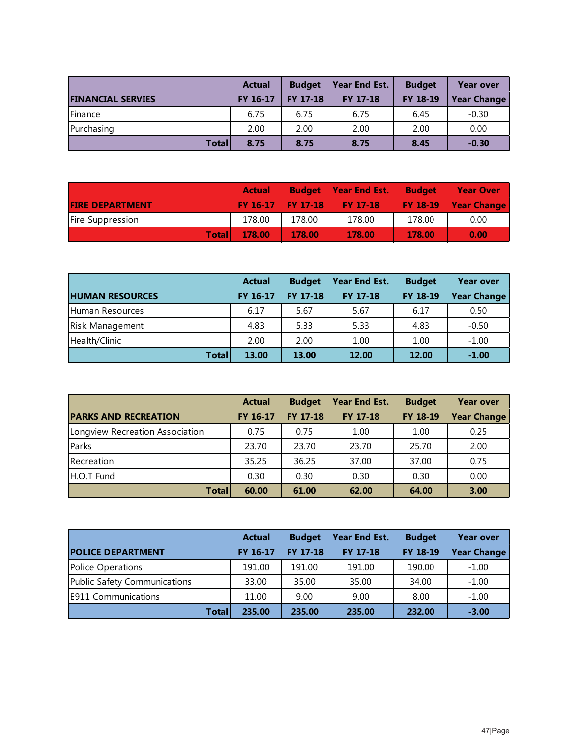|                          | <b>Actual</b> | <b>Budget</b>   | Year End Est.   | <b>Budget</b> | <b>Year over</b>   |
|--------------------------|---------------|-----------------|-----------------|---------------|--------------------|
| <b>FINANCIAL SERVIES</b> | FY 16-17      | <b>FY 17-18</b> | <b>FY 17-18</b> | FY 18-19      | <b>Year Change</b> |
| Finance                  | 6.75          | 6.75            | 6.75            | 6.45          | $-0.30$            |
| Purchasing               | 2.00          | 2.00            | 2.00            | 2.00          | 0.00               |
| Totall                   | 8.75          | 8.75            | 8.75            | 8.45          | $-0.30$            |

|                        | <b>Actual</b> |                          | <b>Budget</b> Year End Est. | <b>Budget</b> | <b>Year Over</b>            |
|------------------------|---------------|--------------------------|-----------------------------|---------------|-----------------------------|
| <b>FIRE DEPARTMENT</b> |               | <b>FY 16-17 FY 17-18</b> | <b>FY 17-18</b>             |               | <b>FY 18-19 Year Change</b> |
| Fire Suppression       | 178.00        | 178.00                   | 178.00                      | 178.00        | 0.00                        |
| <b>Total.</b>          | 178.00        | 178.00                   | 178.00                      | 178.00        | 0.00                        |

|                        | <b>Actual</b>   | <b>Budget</b> | Year End Est.   | <b>Budget</b> | <b>Year over</b>   |
|------------------------|-----------------|---------------|-----------------|---------------|--------------------|
| <b>HUMAN RESOURCES</b> | <b>FY 16-17</b> | FY 17-18      | <b>FY 17-18</b> | FY 18-19      | <b>Year Change</b> |
| Human Resources        | 6.17            | 5.67          | 5.67            | 6.17          | 0.50               |
| Risk Management        | 4.83            | 5.33          | 5.33            | 4.83          | $-0.50$            |
| Health/Clinic          | 2.00            | 2.00          | 1.00            | 1.00          | $-1.00$            |
| Totall                 | 13.00           | 13.00         | 12.00           | 12.00         | $-1.00$            |

|                                 | <b>Actual</b> | <b>Budget</b>   | <b>Year End Est.</b> | <b>Budget</b> | <b>Year over</b>   |
|---------------------------------|---------------|-----------------|----------------------|---------------|--------------------|
| <b>PARKS AND RECREATION</b>     | FY 16-17      | <b>FY 17-18</b> | <b>FY 17-18</b>      | FY 18-19      | <b>Year Change</b> |
| Longview Recreation Association | 0.75          | 0.75            | 1.00                 | 1.00          | 0.25               |
| Parks                           | 23.70         | 23.70           | 23.70                | 25.70         | 2.00               |
| Recreation                      | 35.25         | 36.25           | 37.00                | 37.00         | 0.75               |
| H.O.T Fund                      | 0.30          | 0.30            | 0.30                 | 0.30          | 0.00               |
| Totall                          | 60.00         | 61.00           | 62.00                | 64.00         | 3.00               |

|                              | <b>Actual</b>   | <b>Budget</b>   | <b>Year End Est.</b> | <b>Budget</b> | <b>Year over</b>   |
|------------------------------|-----------------|-----------------|----------------------|---------------|--------------------|
| <b>POLICE DEPARTMENT</b>     | <b>FY 16-17</b> | <b>FY 17-18</b> | <b>FY 17-18</b>      | FY 18-19      | <b>Year Change</b> |
| Police Operations            | 191.00          | 191.00          | 191.00               | 190.00        | $-1.00$            |
| Public Safety Communications | 33.00           | 35.00           | 35.00                | 34.00         | $-1.00$            |
| E911 Communications          | 11.00           | 9.00            | 9.00                 | 8.00          | $-1.00$            |
| Total                        | 235.00          | 235.00          | 235.00               | 232.00        | $-3.00$            |